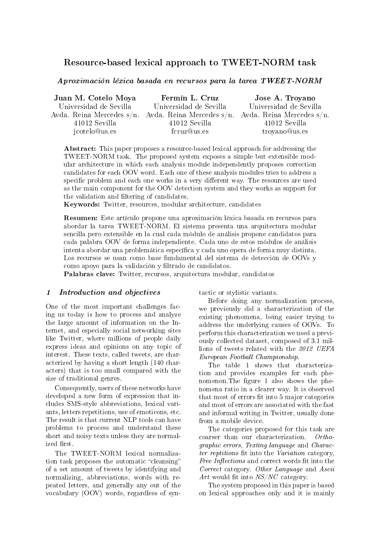# Resource-based lexical approach to TWEET-NORM task

Aproximación léxica basada en recursos para la tarea TWEET-NORM

| Juan M. Cotelo Moya    | Fermín L. Cruz                                                                | Jose A. Troyano        |
|------------------------|-------------------------------------------------------------------------------|------------------------|
| Universidad de Sevilla | Universidad de Sevilla                                                        | Universidad de Sevilla |
|                        | Avda. Reina Mercedes s/n. Avda. Reina Mercedes s/n. Avda. Reina Mercedes s/n. |                        |
| 41012 Sevilla          | 41012 Sevilla                                                                 | 41012 Sevilla          |
| jcotelo@us.es          | fcruz@us.es                                                                   | troyano@us.es          |

Abstract: This paper proposes a resource-based lexical approach for addressing the TWEET-NORM task. The proposed system exposes a simple but extensible modular architecture in which each analysis module independently proposes correction candidates for each OOV word. Each one of these analysis modules tries to address a specific problem and each one works in a very different way. The resources are used as the main component for the OOV detection system and they works as support for the validation and filtering of candidates.

Keywords: Twitter, resources, modular architecture, candidates

Resumen: Este artículo propone una aproximación léxica basada en recursos para abordar la tarea TWEET-NORM. El sistema presenta una arquitectura modular sencilla pero extensible en la cual cada módulo de análisis propone candidatos para cada palabra OOV de forma independiente. Cada uno de estos módulos de análisis intenta abordar una problemática específica y cada uno opera de forma muy distinta. Los recursos se usan como base fundamental del sistema de detección de OOVs y como apoyo para la validación y filtrado de candidatos.

Palabras clave: Twitter, recursos, arquitectura modular, candidatos

#### 1 Introduction and objectives

One of the most important challenges facing us today is how to process and analyze the large amount of information on the Internet, and especially social networking sites like Twitter, where millions of people daily express ideas and opinions on any topic of interest. These texts, called tweets, are characterized by having a short length (140 characters) that is too small compared with the size of traditional genres.

Consequently, users of these networks have developed a new form of expression that includes SMS-style abbreviations, lexical variants, letters repetitions, use of emoticons, etc. The result is that current NLP tools can have problems to process and understand these short and noisy texts unless they are normalized first.

The TWEET-NORM lexical normalization task proposes the automatic "cleansing" of a set amount of tweets by identifying and normalizing, abbreviations, words with repeated letters, and generally any out of the vocabulary (OOV) words, regardless of syntactic or stylistic variants.

Before doing any normalization process, we previously did a characterization of the existing phenomena, being easier trying to address the underlying causes of OOVs. To perform this characterization we used a previously collected dataset, composed of 3.1 millions of tweets related with the 2012 UEFA European Football Championship.

The table 1 shows that characterization and provides examples for each phenomenon. The figure 1 also shows the phenomena ratio in a clearer way. It is observed that most of errors fit into 5 major categories and most of errors are associated with the fast and informal writing in Twitter, usually done from a mobile device.

The categories proposed for this task are coarser than our characterization. Orthographic errors, Texting language and Character reptitions fit into the Variation category, Free Inflections and correct words fit into the Correct category. Other Language and Ascii Art would fit into  $NS/NC$  category.

The system proposed in this paper is based on lexical approaches only and it is mainly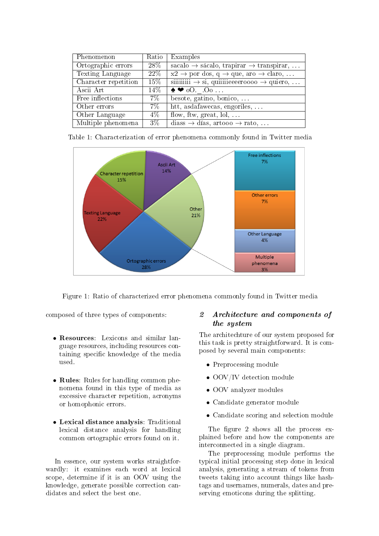| Phenomenon           | Ratio            | Examples                                                                |
|----------------------|------------------|-------------------------------------------------------------------------|
| Ortographic errors   | $28\%$           | sacalo $\rightarrow$ sácalo, trapirar $\rightarrow$ transpirar,         |
| Texting Language     | 22\%             | $x2 \rightarrow$ por dos, q $\rightarrow$ que, aro $\rightarrow$ claro, |
| Character repetition | 15%              |                                                                         |
| Ascii Art            | 14\%             | $\bullet \bullet$ 00 00                                                 |
| Free inflections     | $7\%$            | besote, gatino, bonico, $\dots$                                         |
| Other errors         | $7\%$            | htt, asdafawecas, engoriles,                                            |
| Other Language       | $4\%$            | flow, ftw, great, $\text{tol}, \ldots$                                  |
| Multiple phenomena   | $\overline{3}\%$ | diass $\rightarrow$ días, artooo $\rightarrow$ rato,                    |



Figure 1: Ratio of characterized error phenomena commonly found in Twitter media

composed of three types of components:

- Resources: Lexicons and similar language resources, including resources containing specific knowledge of the media used.
- Rules: Rules for handling common phenomena found in this type of media as excessive character repetition, acronyms or homophonic errors.
- Lexical distance analysis: Traditional lexical distance analysis for handling common ortographic errors found on it.

In essence, our system works straightforwardly: it examines each word at lexical scope, determine if it is an OOV using the knowledge, generate possible correction candidates and select the best one.

## 2 Architecture and components of the system

The architechture of our system proposed for this task is pretty straightforward. It is composed by several main components:

- Preprocessing module
- OOV/IV detection module
- OOV analyzer modules
- Candidate generator module
- Candidate scoring and selection module

The figure 2 shows all the process explained before and how the components are interconnected in a single diagram.

The preprocessing module performs the typical initial processing step done in lexical analysis, generating a stream of tokens from tweets taking into account things like hashtags and usernames, numerals, dates and preserving emoticons during the splitting.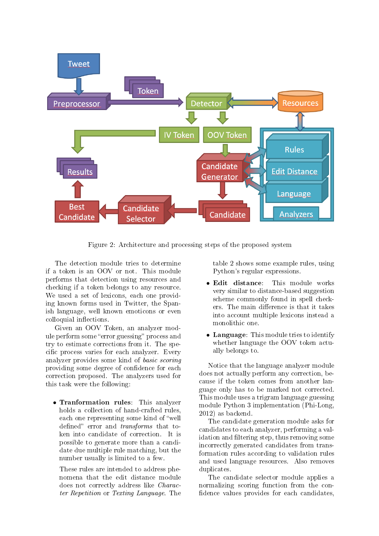

Figure 2: Architecture and processing steps of the proposed system

The detection module tries to determine if a token is an OOV or not. This module performs that detection using resources and checking if a token belongs to any resource. We used a set of lexicons, each one providing known forms used in Twitter, the Spanish language, well known emoticons or even colloquial inflections.

Given an OOV Token, an analyzer module perform some "error guessing" process and try to estimate corrections from it. The specific process varies for each analyzer. Every analyzer provides some kind of basic scoring providing some degree of confidence for each correction proposed. The analyzers used for this task were the following:

• Tranformation rules: This analyzer holds a collection of hand-crafted rules, each one representing some kind of "well defined" error and *transforms* that token into candidate of correction. It is possible to generate more than a candidate due multiple rule matching, but the number usually is limited to a few.

These rules are intended to address phenomena that the edit distance module does not correctly address like Character Repetition or Texting Language. The

table 2 shows some example rules, using Python's regular expressions.

- Edit distance: This module works very similar to distance-based suggestion scheme commonly found in spell checkers. The main difference is that it takes into account multiple lexicons instead a monolithic one.
- Language: This module tries to identify whether language the OOV token actually belongs to.

Notice that the language analyzer module does not actually perform any correction, because if the token comes from another language only has to be marked not corrected. This module uses a trigram language guessing module Python 3 implementation (Phi-Long, 2012) as backend.

The candidate generation module asks for candidates to each analyzer, performing a validation and filtering step, thus removing some incorrectly generated candidates from transformation rules according to validation rules and used language resources. Also removes duplicates.

The candidate selector module applies a normalizing scoring function from the con fidence values provides for each candidates,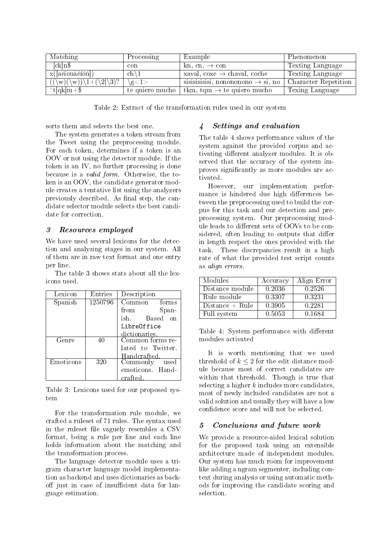| Matching                                                       | Processing           | Example                                       | Phenomenon           |
|----------------------------------------------------------------|----------------------|-----------------------------------------------|----------------------|
| $\textdegree$ [ck]n\\$                                         | $\operatorname{con}$ | kn, cn, $\rightarrow$ con                     | Texting Language     |
| x([aeiouáéíóú])                                                | $\ch\setminus 1$     | xaval, coxe $\rightarrow$ chaval, coche       | Texting Language     |
| $(\mathbf{w})(\mathbf{w})\mathbf{1}+(\mathbf{2} \mathbf{3})$ ? | $\gtrsim1>$          | sisisisisisi, nonononono $\rightarrow$ si, no | Character Repetition |
| $\hat{t}$ [qk]m+\$                                             | te quiero mucho      | tkm, tqm $\rightarrow$ te quiero mucho        | Texing Language      |

Table 2: Extract of the transformation rules used in our system

sorts them and selects the best one.

The system generates a token stream from the Tweet using the preprocessing module. For each token, determines if a token is an OOV or not using the detector module. If the token is an IV, no further processing is done because is a valid form. Otherwise, the token is an OOV, the candidate generator module creates a tentative list using the analyzers previously described. As final step, the candidate selector module selects the best candidate for correction.

## 3 Resources employed

We have used several lexicons for the detection and analyzing stages in our system. All of them are in raw text format and one entry per line.

The table 3 shows stats about all the lexicons used.

| Lexicon   | Entries | Description       |
|-----------|---------|-------------------|
| Spanish   | 1250796 | Common forms      |
|           |         | from<br>Span-     |
|           |         | ish. Based on     |
|           |         | LibreOffice       |
|           |         | dictionaries.     |
| Genre     | 40      | Common forms re-  |
|           |         | lated to Twitter. |
|           |         | Handcrafted       |
| Emoticons | 320     | Commonly used     |
|           |         | emoticons. Hand-  |
|           |         | crafted.          |

Table 3: Lexicons used for our proposed system

For the transformation rule module, we crafted a ruleset of 71 rules. The syntax used in the ruleset file vaguely resembles a CSV format, being a rule per line and each line holds information about the matching and the transformation process.

The language detector module uses a trigram character language model implementation as backend and uses dictionaries as backoff just in case of insufficient data for language estimation.

## 4 Settings and evaluation

The table 4 shows performance values of the system against the provided corpus and activating different analyzer modules. It is observed that the accuracy of the system improves signicantly as more modules are activated.

However, our implementation performance is hindered due high differences between the preprocessing used to build the corpus for this task and our detection and preprocessing system. Our preprocessing module leads to different sets of OOVs to be considered, often leading to outputs that differ in length respect the ones provided with the task. These discrepancies result in a high rate of what the provided test script counts as align errors.

| Modules           | Accuracy | Align Error |
|-------------------|----------|-------------|
| Distance module   | 0.2036   | 0.2526      |
| Rule module       | 0.3307   | 0.3231      |
| $Distance + Rule$ | 0.3905   | 0.2281      |
| Full system       | 0.5053   | 0.1684      |

Table 4: System performance with different modules activated

It is worth mentioning that we used threshold of  $k \leq 2$  for the edit distance module because most of correct candidates are within that threshold. Though is true that selecting a higher  $k$  includes more candidates. most of newly included candidates are not a valid solution and usually they will have a low confidence score and will not be selected.

## 5 Conclusions and future work

We provide a resource-aided lexical solution for the proposed task using an extensible architecture made of independent modules. Our system has much room for improvement like adding a ngram segmenter, including context during analysis or using automatic methods for improving the candidate scoring and selection.